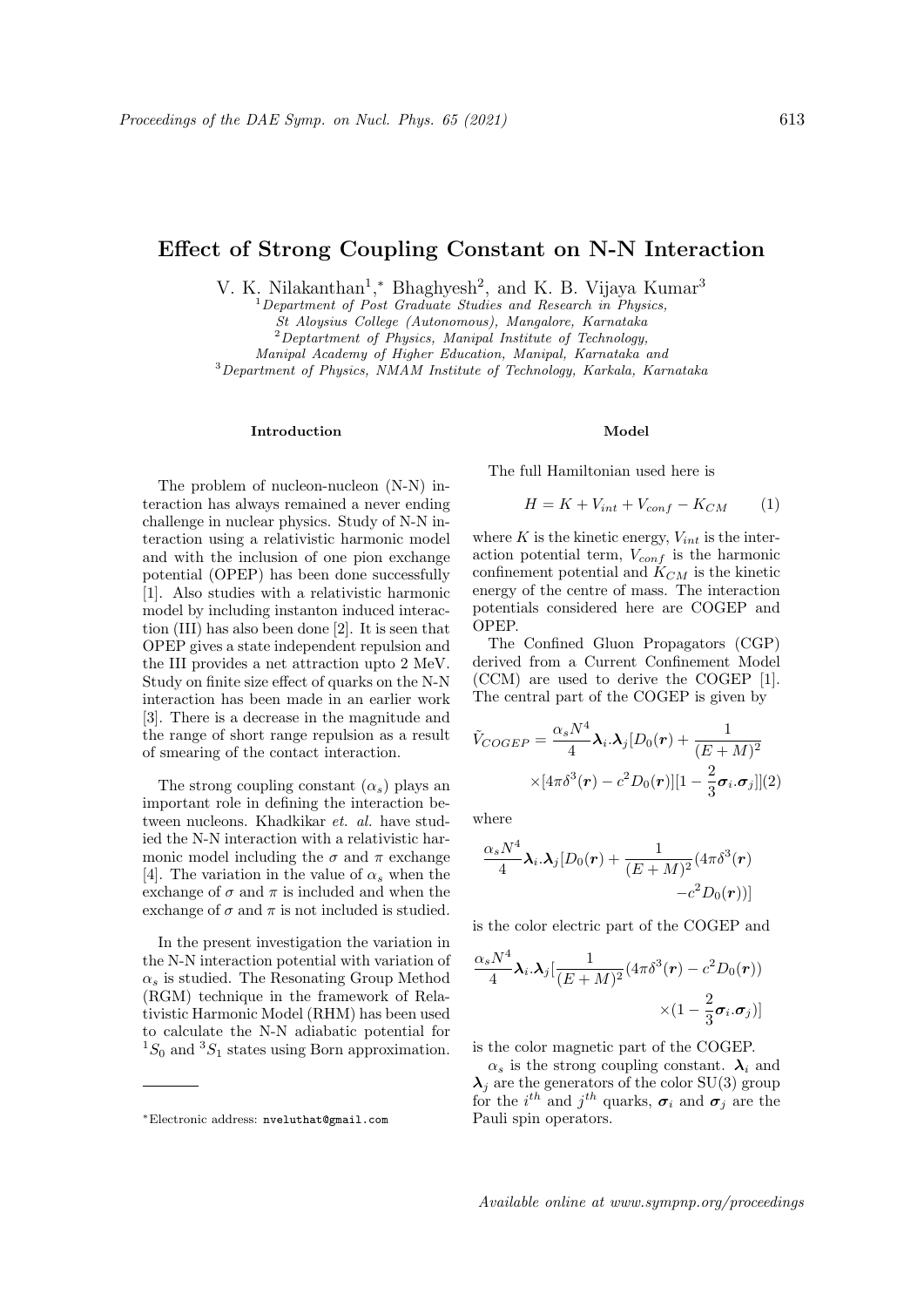# Effect of Strong Coupling Constant on N-N Interaction

V. K. Nilakanthan<sup>1</sup>,\* Bhaghyesh<sup>2</sup>, and K. B. Vijaya Kumar<sup>3</sup>

 $1$  Department of Post Graduate Studies and Research in Physics,

St Aloysius College (Autonomous), Mangalore, Karnataka

 $2$ Deptartment of Physics, Manipal Institute of Technology,

Manipal Academy of Higher Education, Manipal, Karnataka and

<sup>3</sup>Department of Physics, NMAM Institute of Technology, Karkala, Karnataka

## Introduction

The problem of nucleon-nucleon (N-N) interaction has always remained a never ending challenge in nuclear physics. Study of N-N interaction using a relativistic harmonic model and with the inclusion of one pion exchange potential (OPEP) has been done successfully [1]. Also studies with a relativistic harmonic model by including instanton induced interaction (III) has also been done [2]. It is seen that OPEP gives a state independent repulsion and the III provides a net attraction upto 2 MeV. Study on finite size effect of quarks on the N-N interaction has been made in an earlier work [3]. There is a decrease in the magnitude and the range of short range repulsion as a result of smearing of the contact interaction.

The strong coupling constant  $(\alpha_s)$  plays an important role in defining the interaction between nucleons. Khadkikar et. al. have studied the N-N interaction with a relativistic harmonic model including the  $\sigma$  and  $\pi$  exchange [4]. The variation in the value of  $\alpha_s$  when the exchange of  $\sigma$  and  $\pi$  is included and when the exchange of  $\sigma$  and  $\pi$  is not included is studied.

In the present investigation the variation in the N-N interaction potential with variation of  $\alpha_s$  is studied. The Resonating Group Method (RGM) technique in the framework of Relativistic Harmonic Model (RHM) has been used to calculate the N-N adiabatic potential for  ${}^{1}S_{0}$  and  ${}^{3}S_{1}$  states using Born approximation.

#### Model

The full Hamiltonian used here is

$$
H = K + V_{int} + V_{conf} - K_{CM} \tag{1}
$$

where  $K$  is the kinetic energy,  $V_{int}$  is the interaction potential term,  $V_{conf}$  is the harmonic confinement potential and  $K_{CM}$  is the kinetic energy of the centre of mass. The interaction potentials considered here are COGEP and OPEP.

The Confined Gluon Propagators (CGP) derived from a Current Confinement Model (CCM) are used to derive the COGEP [1]. The central part of the COGEP is given by

$$
\tilde{V}_{COGEP} = \frac{\alpha_s N^4}{4} \lambda_i \cdot \lambda_j [D_0(\boldsymbol{r}) + \frac{1}{(E+M)^2} \times [4\pi \delta^3(\boldsymbol{r}) - c^2 D_0(\boldsymbol{r})][1 - \frac{2}{3}\boldsymbol{\sigma}_i \cdot \boldsymbol{\sigma}_j]](2)
$$

where

$$
\frac{\alpha_sN^4}{4}\boldsymbol{\lambda}_i.\boldsymbol{\lambda}_j[D_0(\boldsymbol{r})+\frac{1}{(E+M)^2}(4\pi\delta^3(\boldsymbol{r})\\-c^2D_0(\boldsymbol{r}))]
$$

is the color electric part of the COGEP and

$$
\frac{\alpha_s N^4}{4} \lambda_i \cdot \lambda_j \left[ \frac{1}{(E+M)^2} (4\pi \delta^3(\mathbf{r}) - c^2 D_0(\mathbf{r})) \right] \times (1 - \frac{2}{3} \sigma_i \cdot \sigma_j) ]
$$

is the color magnetic part of the COGEP.

 $\alpha_s$  is the strong coupling constant.  $\lambda_i$  and  $\lambda_i$  are the generators of the color SU(3) group for the  $i^{th}$  and  $j^{th}$  quarks,  $\sigma_i$  and  $\sigma_j$  are the Pauli spin operators.

<sup>∗</sup>Electronic address: nveluthat@gmail.com